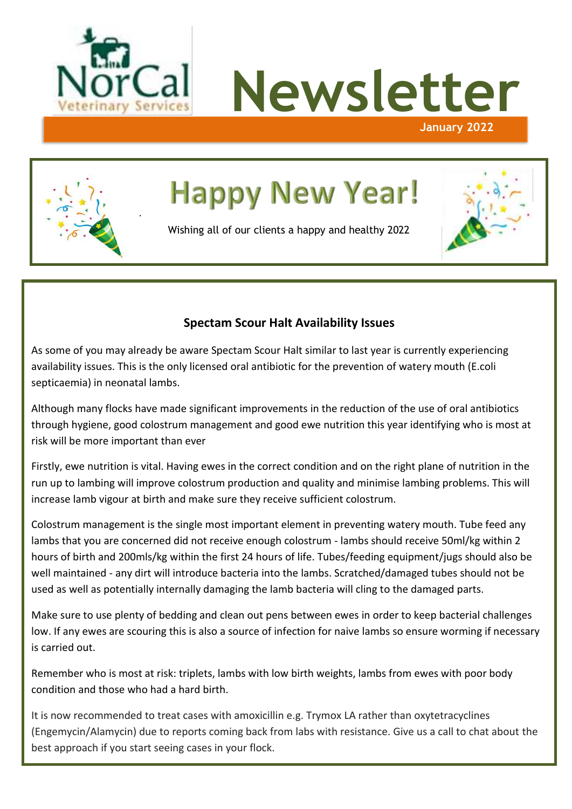

.





# **Happy New Year!**

Wishing all of our clients a happy and healthy 2022



# **Spectam Scour Halt Availability Issues**

As some of you may already be aware Spectam Scour Halt similar to last year is currently experiencing availability issues. This is the only licensed oral antibiotic for the prevention of watery mouth (E.coli septicaemia) in neonatal lambs.

Although many flocks have made significant improvements in the reduction of the use of oral antibiotics through hygiene, good colostrum management and good ewe nutrition this year identifying who is most at risk will be more important than ever

Firstly, ewe nutrition is vital. Having ewes in the correct condition and on the right plane of nutrition in the run up to lambing will improve colostrum production and quality and minimise lambing problems. This will increase lamb vigour at birth and make sure they receive sufficient colostrum.

Colostrum management is the single most important element in preventing watery mouth. Tube feed any lambs that you are concerned did not receive enough colostrum - lambs should receive 50ml/kg within 2 hours of birth and 200mls/kg within the first 24 hours of life. Tubes/feeding equipment/jugs should also be well maintained - any dirt will introduce bacteria into the lambs. Scratched/damaged tubes should not be used as well as potentially internally damaging the lamb bacteria will cling to the damaged parts.

Make sure to use plenty of bedding and clean out pens between ewes in order to keep bacterial challenges low. If any ewes are scouring this is also a source of infection for naive lambs so ensure worming if necessary is carried out.

Remember who is most at risk: triplets, lambs with low birth weights, lambs from ewes with poor body condition and those who had a hard birth.

It is now recommended to treat cases with amoxicillin e.g. Trymox LA rather than oxytetracyclines (Engemycin/Alamycin) due to reports coming back from labs with resistance. Give us a call to chat about the best approach if you start seeing cases in your flock.